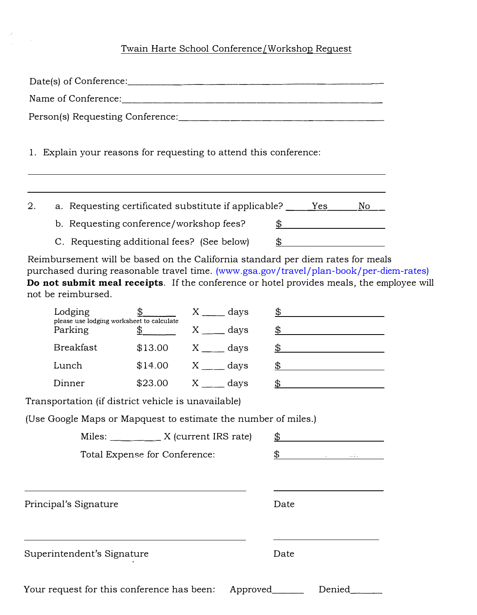## Twain Harte School Conference/Workshop Request

|    | 1. Explain your reasons for requesting to attend this conference:                                                                                                                                                                                                                            |  |  |                               |  |                                                                                                                                                                                                                                                                                                  |                     |  |
|----|----------------------------------------------------------------------------------------------------------------------------------------------------------------------------------------------------------------------------------------------------------------------------------------------|--|--|-------------------------------|--|--------------------------------------------------------------------------------------------------------------------------------------------------------------------------------------------------------------------------------------------------------------------------------------------------|---------------------|--|
| 2. | a. Requesting certificated substitute if applicable? _______Yes<br>b. Requesting conference/workshop fees?                                                                                                                                                                                   |  |  |                               |  |                                                                                                                                                                                                                                                                                                  | No<br>$\frac{1}{2}$ |  |
|    | C. Requesting additional fees? (See below)                                                                                                                                                                                                                                                   |  |  |                               |  | $\mathfrak{B}$                                                                                                                                                                                                                                                                                   |                     |  |
|    | Reimbursement will be based on the California standard per diem rates for meals<br>purchased during reasonable travel time. (www.gsa.gov/travel/plan-book/per-diem-rates)<br>Do not submit meal receipts. If the conference or hotel provides meals, the employee will<br>not be reimbursed. |  |  |                               |  |                                                                                                                                                                                                                                                                                                  |                     |  |
|    | Lodging                                                                                                                                                                                                                                                                                      |  |  | $\frac{\$$ $X \_\_\_\_\$ days |  | $\mathbb{S}$ and $\mathbb{S}$ and $\mathbb{S}$ and $\mathbb{S}$ and $\mathbb{S}$ and $\mathbb{S}$ and $\mathbb{S}$ and $\mathbb{S}$ and $\mathbb{S}$ and $\mathbb{S}$ and $\mathbb{S}$ and $\mathbb{S}$ and $\mathbb{S}$ and $\mathbb{S}$ and $\mathbb{S}$ and $\mathbb{S}$ and $\mathbb{S}$ and |                     |  |

| roaging<br>please use lodging worksheet to calculate |         | aays             | <b>D</b> |
|------------------------------------------------------|---------|------------------|----------|
| Parking                                              |         | days             | \$       |
| <b>Breakfast</b>                                     | \$13.00 | days             | \$       |
| Lunch                                                | \$14.00 | X days           | \$       |
| Dinner                                               | \$23.00 | $X \sim$<br>days |          |

Transportation (if district vehicle is unavailable)

 $\sim$   $\alpha$ 

(Use Google Maps or Mapquest to estimate the number of miles.)

|                       | Miles: _____________ X (current IRS rate)  |  |          | \$   |        |         |  |  |
|-----------------------|--------------------------------------------|--|----------|------|--------|---------|--|--|
|                       | Total Expense for Conference:              |  |          | \$   |        | 그대는 아이가 |  |  |
|                       |                                            |  |          |      |        |         |  |  |
| Principal's Signature |                                            |  |          | Date |        |         |  |  |
|                       | Superintendent's Signature                 |  |          | Date |        |         |  |  |
|                       | Your request for this conference has been: |  | Approved |      | Denied |         |  |  |